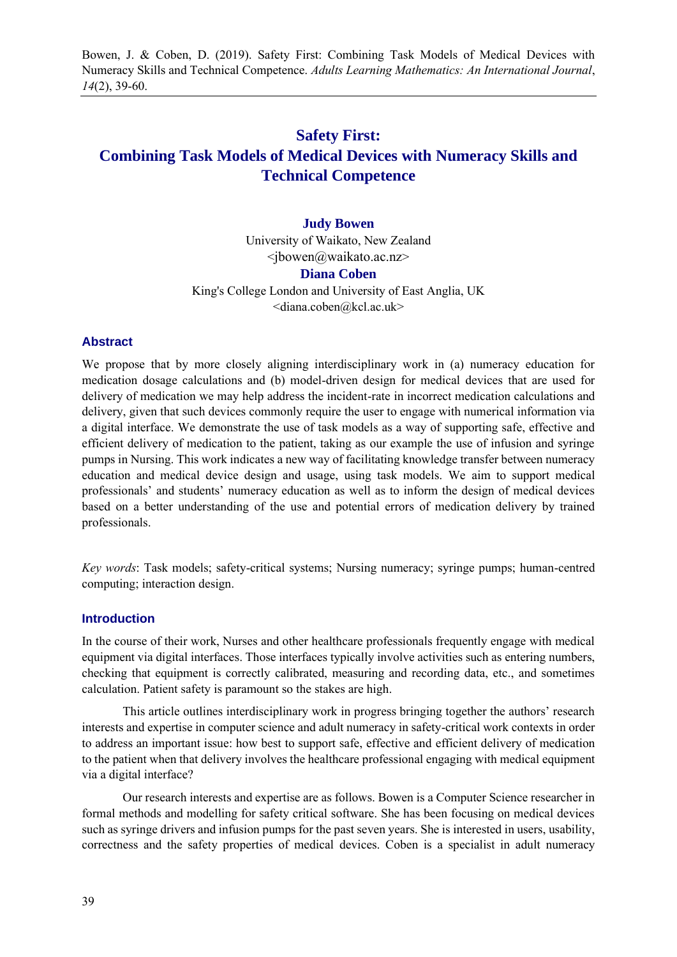Bowen, J. & Coben, D. (2019). Safety First: Combining Task Models of Medical Devices with Numeracy Skills and Technical Competence. *Adults Learning Mathematics: An International Journal*, *14*(2), 39-60.

# **Safety First: Combining Task Models of Medical Devices with Numeracy Skills and Technical Competence**

#### **Judy Bowen**

University of Waikato, New Zealand <jbowen@waikato.ac.nz> **Diana Coben** King's College London and University of East Anglia, UK <diana.coben@kcl.ac.uk>

#### **Abstract**

We propose that by more closely aligning interdisciplinary work in (a) numeracy education for medication dosage calculations and (b) model-driven design for medical devices that are used for delivery of medication we may help address the incident-rate in incorrect medication calculations and delivery, given that such devices commonly require the user to engage with numerical information via a digital interface. We demonstrate the use of task models as a way of supporting safe, effective and efficient delivery of medication to the patient, taking as our example the use of infusion and syringe pumps in Nursing. This work indicates a new way of facilitating knowledge transfer between numeracy education and medical device design and usage, using task models. We aim to support medical professionals' and students' numeracy education as well as to inform the design of medical devices based on a better understanding of the use and potential errors of medication delivery by trained professionals.

*Key words*: Task models; safety-critical systems; Nursing numeracy; syringe pumps; human-centred computing; interaction design.

#### **Introduction**

In the course of their work, Nurses and other healthcare professionals frequently engage with medical equipment via digital interfaces. Those interfaces typically involve activities such as entering numbers, checking that equipment is correctly calibrated, measuring and recording data, etc., and sometimes calculation. Patient safety is paramount so the stakes are high.

This article outlines interdisciplinary work in progress bringing together the authors' research interests and expertise in computer science and adult numeracy in safety-critical work contexts in order to address an important issue: how best to support safe, effective and efficient delivery of medication to the patient when that delivery involves the healthcare professional engaging with medical equipment via a digital interface?

Our research interests and expertise are as follows. Bowen is a Computer Science researcher in formal methods and modelling for safety critical software. She has been focusing on medical devices such as syringe drivers and infusion pumps for the past seven years. She is interested in users, usability, correctness and the safety properties of medical devices. Coben is a specialist in adult numeracy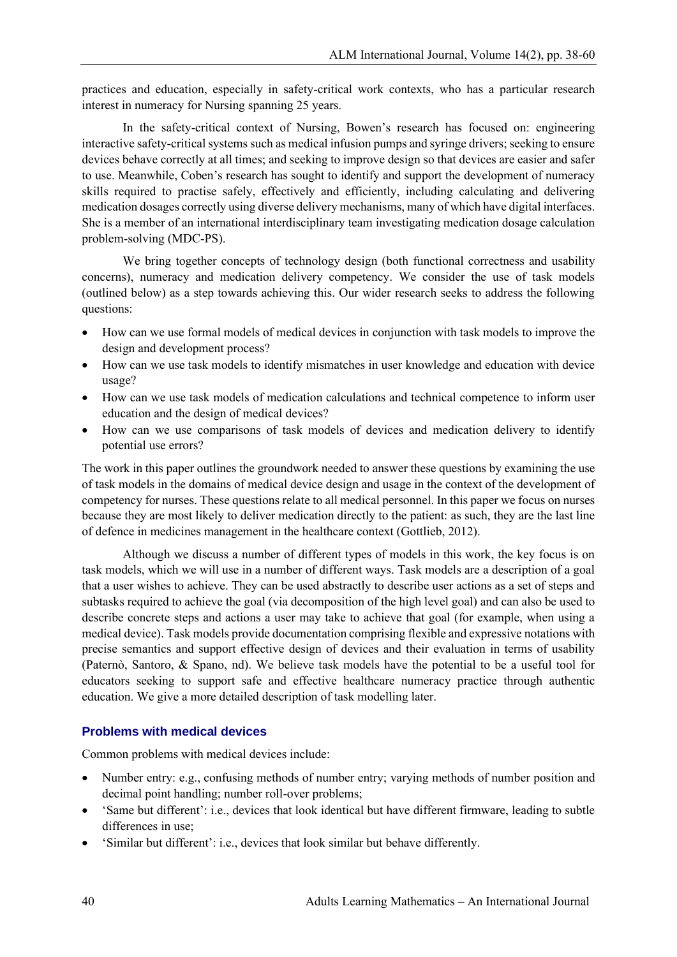practices and education, especially in safety-critical work contexts, who has a particular research interest in numeracy for Nursing spanning 25 years.

In the safety-critical context of Nursing, Bowen's research has focused on: engineering interactive safety-critical systems such as medical infusion pumps and syringe drivers; seeking to ensure devices behave correctly at all times; and seeking to improve design so that devices are easier and safer to use. Meanwhile, Coben's research has sought to identify and support the development of numeracy skills required to practise safely, effectively and efficiently, including calculating and delivering medication dosages correctly using diverse delivery mechanisms, many of which have digital interfaces. She is a member of an international interdisciplinary team investigating medication dosage calculation problem-solving (MDC-PS).

We bring together concepts of technology design (both functional correctness and usability concerns), numeracy and medication delivery competency. We consider the use of task models (outlined below) as a step towards achieving this. Our wider research seeks to address the following questions:

- How can we use formal models of medical devices in conjunction with task models to improve the design and development process?
- How can we use task models to identify mismatches in user knowledge and education with device usage?
- How can we use task models of medication calculations and technical competence to inform user education and the design of medical devices?
- How can we use comparisons of task models of devices and medication delivery to identify potential use errors?

The work in this paper outlines the groundwork needed to answer these questions by examining the use of task models in the domains of medical device design and usage in the context of the development of competency for nurses. These questions relate to all medical personnel. In this paper we focus on nurses because they are most likely to deliver medication directly to the patient: as such, they are the last line of defence in medicines management in the healthcare context (Gottlieb, 2012).

Although we discuss a number of different types of models in this work, the key focus is on task models, which we will use in a number of different ways. Task models are a description of a goal that a user wishes to achieve. They can be used abstractly to describe user actions as a set of steps and subtasks required to achieve the goal (via decomposition of the high level goal) and can also be used to describe concrete steps and actions a user may take to achieve that goal (for example, when using a medical device). Task models provide documentation comprising flexible and expressive notations with precise semantics and support effective design of devices and their evaluation in terms of usability (Paternò, Santoro, & Spano, nd). We believe task models have the potential to be a useful tool for educators seeking to support safe and effective healthcare numeracy practice through authentic education. We give a more detailed description of task modelling later.

## **Problems with medical devices**

Common problems with medical devices include:

- Number entry: e.g., confusing methods of number entry; varying methods of number position and decimal point handling; number roll-over problems;
- 'Same but different': i.e., devices that look identical but have different firmware, leading to subtle differences in use;
- 'Similar but different': i.e., devices that look similar but behave differently.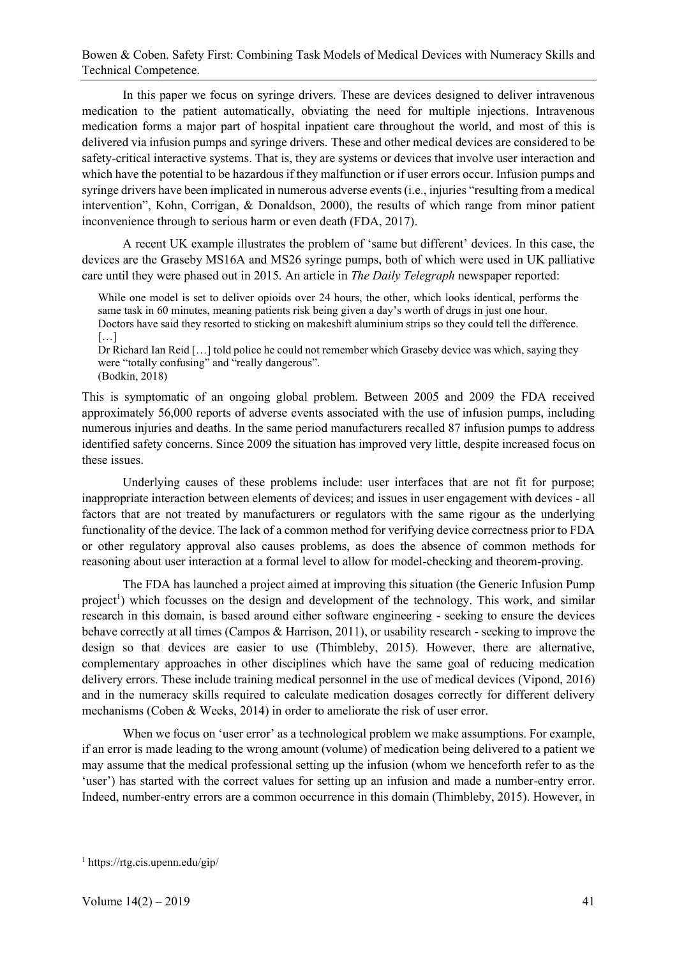In this paper we focus on syringe drivers. These are devices designed to deliver intravenous medication to the patient automatically, obviating the need for multiple injections. Intravenous medication forms a major part of hospital inpatient care throughout the world, and most of this is delivered via infusion pumps and syringe drivers. These and other medical devices are considered to be safety-critical interactive systems. That is, they are systems or devices that involve user interaction and which have the potential to be hazardous if they malfunction or if user errors occur. Infusion pumps and syringe drivers have been implicated in numerous adverse events (i.e., injuries "resulting from a medical intervention", Kohn, Corrigan, & Donaldson, 2000), the results of which range from minor patient inconvenience through to serious harm or even death (FDA, 2017).

A recent UK example illustrates the problem of 'same but different' devices. In this case, the devices are the Graseby MS16A and MS26 syringe pumps, both of which were used in UK palliative care until they were phased out in 2015. An article in *The Daily Telegraph* newspaper reported:

While one model is set to deliver opioids over 24 hours, the other, which looks identical, performs the same task in 60 minutes, meaning patients risk being given a day's worth of drugs in just one hour. Doctors have said they resorted to sticking on makeshift aluminium strips so they could tell the difference. […]

Dr Richard Ian Reid […] told police he could not remember which Graseby device was which, saying they were "totally confusing" and "really dangerous". (Bodkin, 2018)

This is symptomatic of an ongoing global problem. Between 2005 and 2009 the FDA received approximately 56,000 reports of adverse events associated with the use of infusion pumps, including numerous injuries and deaths. In the same period manufacturers recalled 87 infusion pumps to address identified safety concerns. Since 2009 the situation has improved very little, despite increased focus on these issues.

Underlying causes of these problems include: user interfaces that are not fit for purpose; inappropriate interaction between elements of devices; and issues in user engagement with devices - all factors that are not treated by manufacturers or regulators with the same rigour as the underlying functionality of the device. The lack of a common method for verifying device correctness prior to FDA or other regulatory approval also causes problems, as does the absence of common methods for reasoning about user interaction at a formal level to allow for model-checking and theorem-proving.

The FDA has launched a project aimed at improving this situation (the Generic Infusion Pump project<sup>1</sup>) which focusses on the design and development of the technology. This work, and similar research in this domain, is based around either software engineering - seeking to ensure the devices behave correctly at all times (Campos & Harrison, 2011), or usability research - seeking to improve the design so that devices are easier to use (Thimbleby, 2015). However, there are alternative, complementary approaches in other disciplines which have the same goal of reducing medication delivery errors. These include training medical personnel in the use of medical devices (Vipond, 2016) and in the numeracy skills required to calculate medication dosages correctly for different delivery mechanisms (Coben & Weeks, 2014) in order to ameliorate the risk of user error.

When we focus on 'user error' as a technological problem we make assumptions. For example, if an error is made leading to the wrong amount (volume) of medication being delivered to a patient we may assume that the medical professional setting up the infusion (whom we henceforth refer to as the 'user') has started with the correct values for setting up an infusion and made a number-entry error. Indeed, number-entry errors are a common occurrence in this domain (Thimbleby, 2015). However, in

<sup>1</sup> https://rtg.cis.upenn.edu/gip/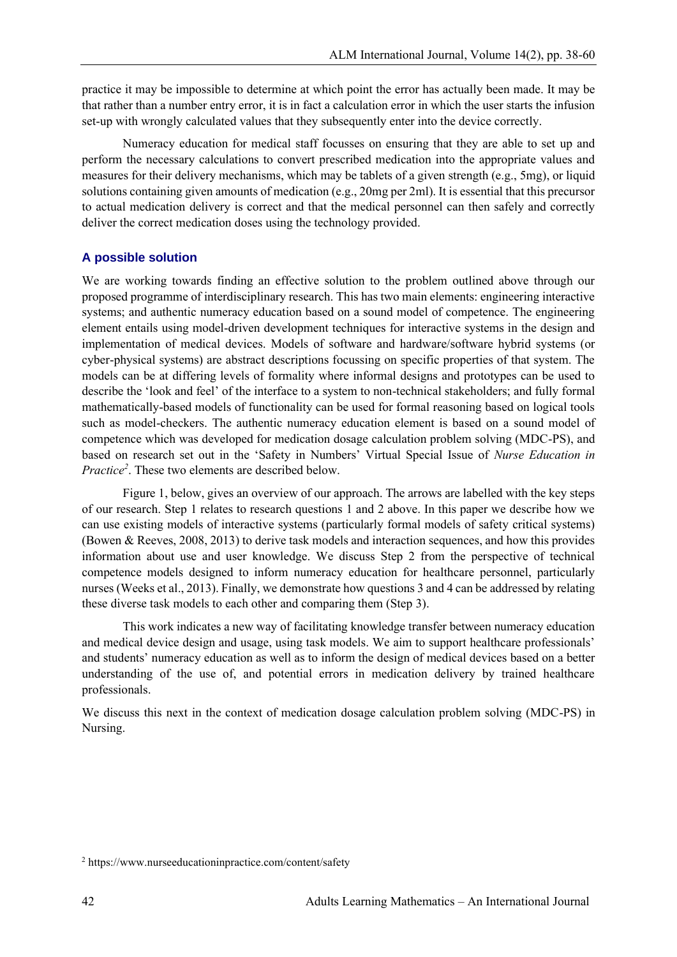practice it may be impossible to determine at which point the error has actually been made. It may be that rather than a number entry error, it is in fact a calculation error in which the user starts the infusion set-up with wrongly calculated values that they subsequently enter into the device correctly.

Numeracy education for medical staff focusses on ensuring that they are able to set up and perform the necessary calculations to convert prescribed medication into the appropriate values and measures for their delivery mechanisms, which may be tablets of a given strength (e.g., 5mg), or liquid solutions containing given amounts of medication (e.g., 20mg per 2ml). It is essential that this precursor to actual medication delivery is correct and that the medical personnel can then safely and correctly deliver the correct medication doses using the technology provided.

## **A possible solution**

We are working towards finding an effective solution to the problem outlined above through our proposed programme of interdisciplinary research. This has two main elements: engineering interactive systems; and authentic numeracy education based on a sound model of competence. The engineering element entails using model-driven development techniques for interactive systems in the design and implementation of medical devices. Models of software and hardware/software hybrid systems (or cyber-physical systems) are abstract descriptions focussing on specific properties of that system. The models can be at differing levels of formality where informal designs and prototypes can be used to describe the 'look and feel' of the interface to a system to non-technical stakeholders; and fully formal mathematically-based models of functionality can be used for formal reasoning based on logical tools such as model-checkers. The authentic numeracy education element is based on a sound model of competence which was developed for medication dosage calculation problem solving (MDC-PS), and based on research set out in the 'Safety in Numbers' Virtual Special Issue of *Nurse Education in Practice<sup>2</sup>* . These two elements are described below.

Figure 1, below, gives an overview of our approach. The arrows are labelled with the key steps of our research. Step 1 relates to research questions 1 and 2 above. In this paper we describe how we can use existing models of interactive systems (particularly formal models of safety critical systems) (Bowen & Reeves, 2008, 2013) to derive task models and interaction sequences, and how this provides information about use and user knowledge. We discuss Step 2 from the perspective of technical competence models designed to inform numeracy education for healthcare personnel, particularly nurses (Weeks et al., 2013). Finally, we demonstrate how questions 3 and 4 can be addressed by relating these diverse task models to each other and comparing them (Step 3).

This work indicates a new way of facilitating knowledge transfer between numeracy education and medical device design and usage, using task models. We aim to support healthcare professionals' and students' numeracy education as well as to inform the design of medical devices based on a better understanding of the use of, and potential errors in medication delivery by trained healthcare professionals.

We discuss this next in the context of medication dosage calculation problem solving (MDC-PS) in Nursing.

<sup>2</sup> https://www.nurseeducationinpractice.com/content/safety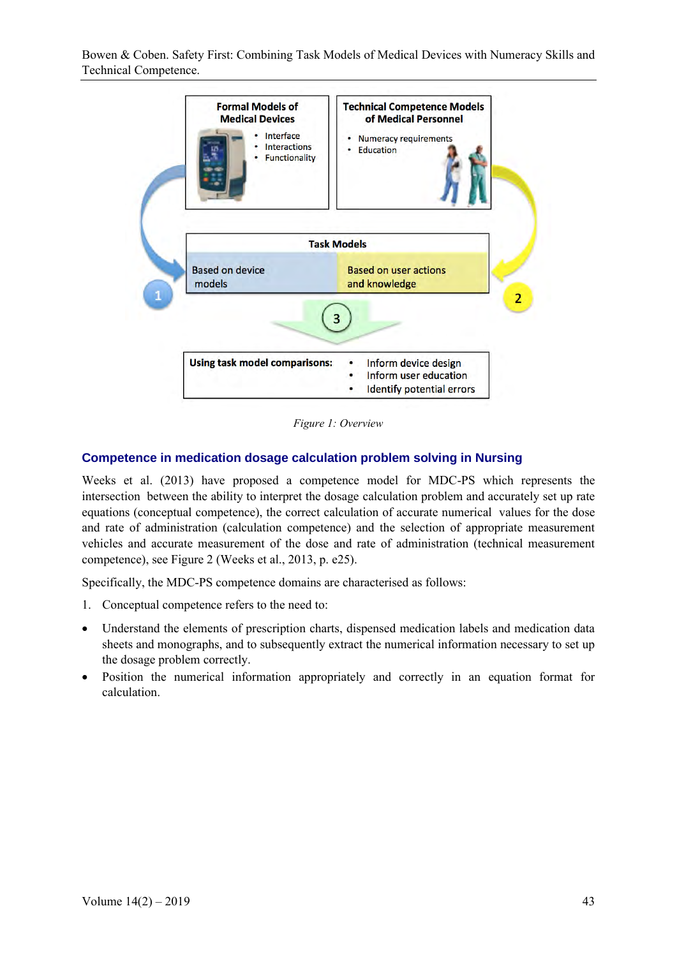

*Figure 1: Overview*

## **Competence in medication dosage calculation problem solving in Nursing**

Weeks et al. (2013) have proposed a competence model for MDC-PS which represents the intersection between the ability to interpret the dosage calculation problem and accurately set up rate equations (conceptual competence), the correct calculation of accurate numerical values for the dose and rate of administration (calculation competence) and the selection of appropriate measurement vehicles and accurate measurement of the dose and rate of administration (technical measurement competence), see Figure 2 (Weeks et al., 2013, p. e25).

Specifically, the MDC-PS competence domains are characterised as follows:

- 1. Conceptual competence refers to the need to:
- Understand the elements of prescription charts, dispensed medication labels and medication data sheets and monographs, and to subsequently extract the numerical information necessary to set up the dosage problem correctly.
- Position the numerical information appropriately and correctly in an equation format for calculation.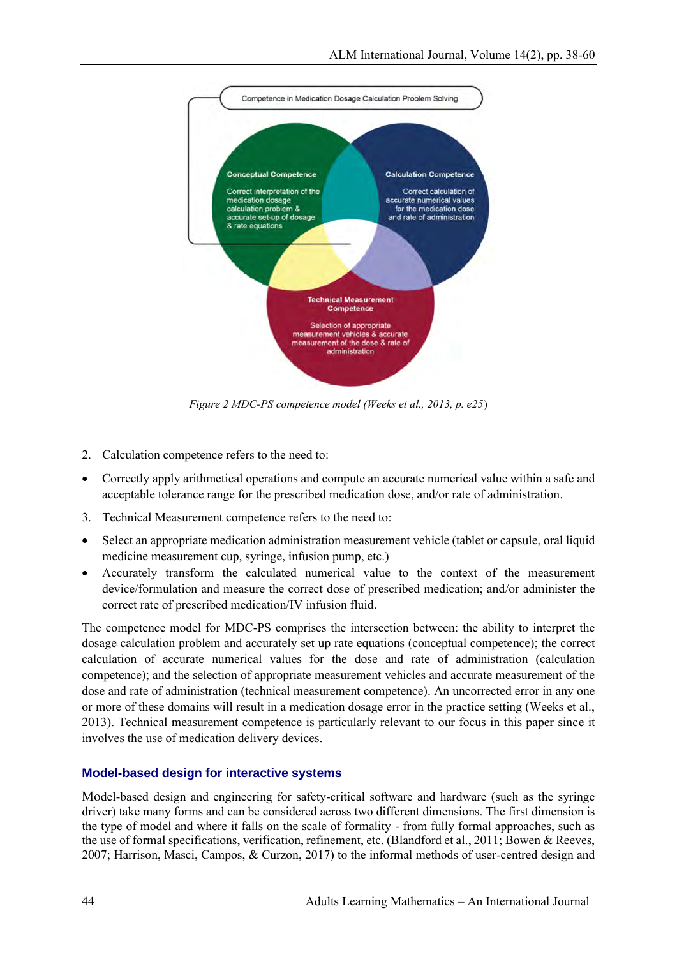

*Figure 2 MDC-PS competence model (Weeks et al., 2013, p. e25*)

- 2. Calculation competence refers to the need to:
- Correctly apply arithmetical operations and compute an accurate numerical value within a safe and acceptable tolerance range for the prescribed medication dose, and/or rate of administration.
- 3. Technical Measurement competence refers to the need to:
- Select an appropriate medication administration measurement vehicle (tablet or capsule, oral liquid medicine measurement cup, syringe, infusion pump, etc.)
- Accurately transform the calculated numerical value to the context of the measurement device/formulation and measure the correct dose of prescribed medication; and/or administer the correct rate of prescribed medication/IV infusion fluid.

The competence model for MDC-PS comprises the intersection between: the ability to interpret the dosage calculation problem and accurately set up rate equations (conceptual competence); the correct calculation of accurate numerical values for the dose and rate of administration (calculation competence); and the selection of appropriate measurement vehicles and accurate measurement of the dose and rate of administration (technical measurement competence). An uncorrected error in any one or more of these domains will result in a medication dosage error in the practice setting (Weeks et al., 2013). Technical measurement competence is particularly relevant to our focus in this paper since it involves the use of medication delivery devices.

### **Model-based design for interactive systems**

Model-based design and engineering for safety-critical software and hardware (such as the syringe driver) take many forms and can be considered across two different dimensions. The first dimension is the type of model and where it falls on the scale of formality - from fully formal approaches, such as the use of formal specifications, verification, refinement, etc. (Blandford et al., 2011; Bowen & Reeves, 2007; Harrison, Masci, Campos, & Curzon, 2017) to the informal methods of user-centred design and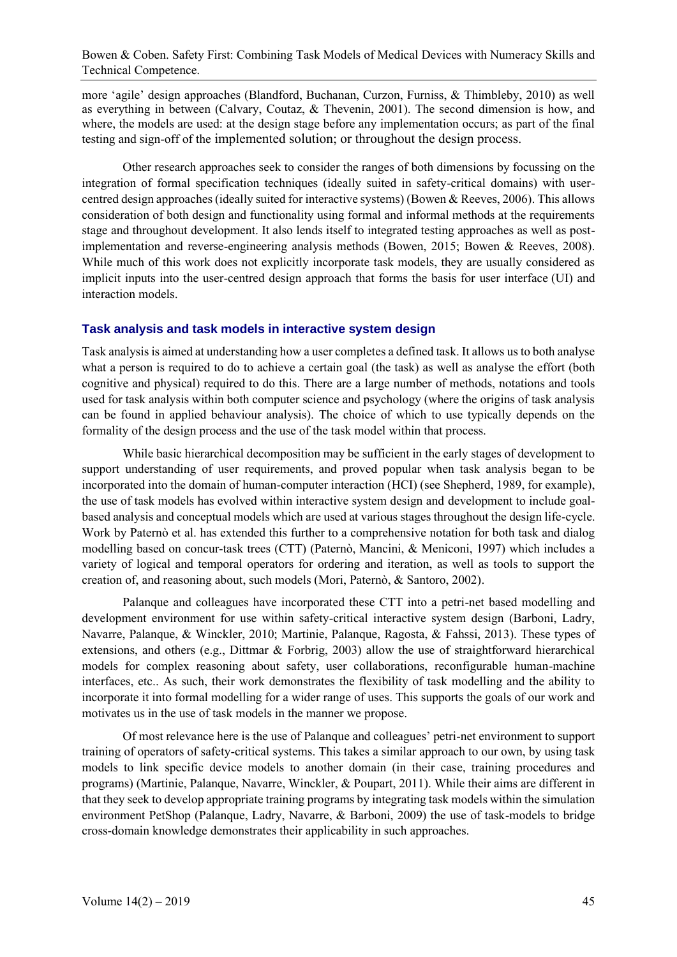more 'agile' design approaches (Blandford, Buchanan, Curzon, Furniss, & Thimbleby, 2010) as well as everything in between (Calvary, Coutaz, & Thevenin, 2001). The second dimension is how, and where, the models are used: at the design stage before any implementation occurs; as part of the final testing and sign-off of the implemented solution; or throughout the design process.

Other research approaches seek to consider the ranges of both dimensions by focussing on the integration of formal specification techniques (ideally suited in safety-critical domains) with usercentred design approaches (ideally suited for interactive systems) (Bowen & Reeves, 2006). This allows consideration of both design and functionality using formal and informal methods at the requirements stage and throughout development. It also lends itself to integrated testing approaches as well as postimplementation and reverse-engineering analysis methods (Bowen, 2015; Bowen & Reeves, 2008). While much of this work does not explicitly incorporate task models, they are usually considered as implicit inputs into the user-centred design approach that forms the basis for user interface (UI) and interaction models.

#### **Task analysis and task models in interactive system design**

Task analysis is aimed at understanding how a user completes a defined task. It allows us to both analyse what a person is required to do to achieve a certain goal (the task) as well as analyse the effort (both cognitive and physical) required to do this. There are a large number of methods, notations and tools used for task analysis within both computer science and psychology (where the origins of task analysis can be found in applied behaviour analysis). The choice of which to use typically depends on the formality of the design process and the use of the task model within that process.

While basic hierarchical decomposition may be sufficient in the early stages of development to support understanding of user requirements, and proved popular when task analysis began to be incorporated into the domain of human-computer interaction (HCI) (see Shepherd, 1989, for example), the use of task models has evolved within interactive system design and development to include goalbased analysis and conceptual models which are used at various stages throughout the design life-cycle. Work by Paternò et al. has extended this further to a comprehensive notation for both task and dialog modelling based on concur-task trees (CTT) (Paternò, Mancini, & Meniconi, 1997) which includes a variety of logical and temporal operators for ordering and iteration, as well as tools to support the creation of, and reasoning about, such models (Mori, Paternò, & Santoro, 2002).

Palanque and colleagues have incorporated these CTT into a petri-net based modelling and development environment for use within safety-critical interactive system design (Barboni, Ladry, Navarre, Palanque, & Winckler, 2010; Martinie, Palanque, Ragosta, & Fahssi, 2013). These types of extensions, and others (e.g., Dittmar  $\&$  Forbrig, 2003) allow the use of straightforward hierarchical models for complex reasoning about safety, user collaborations, reconfigurable human-machine interfaces, etc.. As such, their work demonstrates the flexibility of task modelling and the ability to incorporate it into formal modelling for a wider range of uses. This supports the goals of our work and motivates us in the use of task models in the manner we propose.

Of most relevance here is the use of Palanque and colleagues' petri-net environment to support training of operators of safety-critical systems. This takes a similar approach to our own, by using task models to link specific device models to another domain (in their case, training procedures and programs) (Martinie, Palanque, Navarre, Winckler, & Poupart, 2011). While their aims are different in that they seek to develop appropriate training programs by integrating task models within the simulation environment PetShop (Palanque, Ladry, Navarre, & Barboni, 2009) the use of task-models to bridge cross-domain knowledge demonstrates their applicability in such approaches.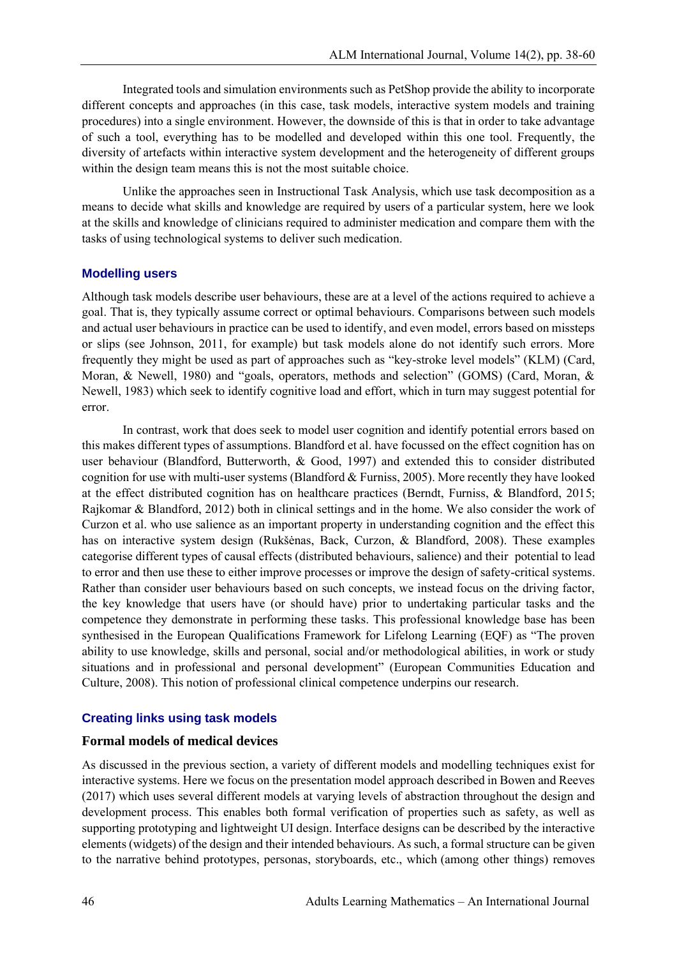Integrated tools and simulation environments such as PetShop provide the ability to incorporate different concepts and approaches (in this case, task models, interactive system models and training procedures) into a single environment. However, the downside of this is that in order to take advantage of such a tool, everything has to be modelled and developed within this one tool. Frequently, the diversity of artefacts within interactive system development and the heterogeneity of different groups within the design team means this is not the most suitable choice.

Unlike the approaches seen in Instructional Task Analysis, which use task decomposition as a means to decide what skills and knowledge are required by users of a particular system, here we look at the skills and knowledge of clinicians required to administer medication and compare them with the tasks of using technological systems to deliver such medication.

### **Modelling users**

Although task models describe user behaviours, these are at a level of the actions required to achieve a goal. That is, they typically assume correct or optimal behaviours. Comparisons between such models and actual user behaviours in practice can be used to identify, and even model, errors based on missteps or slips (see Johnson, 2011, for example) but task models alone do not identify such errors. More frequently they might be used as part of approaches such as "key-stroke level models" (KLM) (Card, Moran, & Newell, 1980) and "goals, operators, methods and selection" (GOMS) (Card, Moran, & Newell, 1983) which seek to identify cognitive load and effort, which in turn may suggest potential for error.

In contrast, work that does seek to model user cognition and identify potential errors based on this makes different types of assumptions. Blandford et al. have focussed on the effect cognition has on user behaviour (Blandford, Butterworth, & Good, 1997) and extended this to consider distributed cognition for use with multi-user systems (Blandford & Furniss, 2005). More recently they have looked at the effect distributed cognition has on healthcare practices (Berndt, Furniss, & Blandford, 2015; Rajkomar & Blandford, 2012) both in clinical settings and in the home. We also consider the work of Curzon et al. who use salience as an important property in understanding cognition and the effect this has on interactive system design (Rukšėnas, Back, Curzon, & Blandford, 2008). These examples categorise different types of causal effects (distributed behaviours, salience) and their potential to lead to error and then use these to either improve processes or improve the design of safety-critical systems. Rather than consider user behaviours based on such concepts, we instead focus on the driving factor, the key knowledge that users have (or should have) prior to undertaking particular tasks and the competence they demonstrate in performing these tasks. This professional knowledge base has been synthesised in the European Qualifications Framework for Lifelong Learning (EQF) as "The proven ability to use knowledge, skills and personal, social and/or methodological abilities, in work or study situations and in professional and personal development" (European Communities Education and Culture, 2008). This notion of professional clinical competence underpins our research.

### **Creating links using task models**

## **Formal models of medical devices**

As discussed in the previous section, a variety of different models and modelling techniques exist for interactive systems. Here we focus on the presentation model approach described in Bowen and Reeves (2017) which uses several different models at varying levels of abstraction throughout the design and development process. This enables both formal verification of properties such as safety, as well as supporting prototyping and lightweight UI design. Interface designs can be described by the interactive elements (widgets) of the design and their intended behaviours. As such, a formal structure can be given to the narrative behind prototypes, personas, storyboards, etc., which (among other things) removes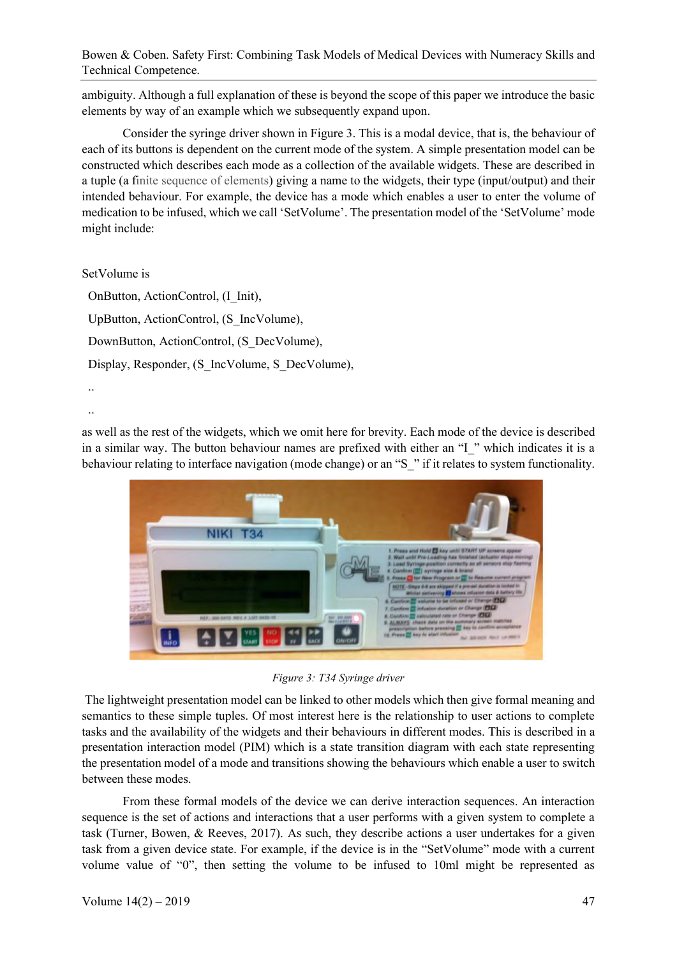ambiguity. Although a full explanation of these is beyond the scope of this paper we introduce the basic elements by way of an example which we subsequently expand upon.

Consider the syringe driver shown in Figure 3. This is a modal device, that is, the behaviour of each of its buttons is dependent on the current mode of the system. A simple presentation model can be constructed which describes each mode as a collection of the available widgets. These are described in a tuple (a finite sequence of elements) giving a name to the widgets, their type (input/output) and their intended behaviour. For example, the device has a mode which enables a user to enter the volume of medication to be infused, which we call 'SetVolume'. The presentation model of the 'SetVolume' mode might include:

SetVolume is

..

OnButton, ActionControl, (I\_Init), UpButton, ActionControl, (S\_IncVolume), DownButton, ActionControl, (S\_DecVolume), Display, Responder, (S\_IncVolume, S\_DecVolume), ..

as well as the rest of the widgets, which we omit here for brevity. Each mode of the device is described in a similar way. The button behaviour names are prefixed with either an "I\_" which indicates it is a behaviour relating to interface navigation (mode change) or an "S" if it relates to system functionality.



*Figure 3: T34 Syringe driver*

The lightweight presentation model can be linked to other models which then give formal meaning and semantics to these simple tuples. Of most interest here is the relationship to user actions to complete tasks and the availability of the widgets and their behaviours in different modes. This is described in a presentation interaction model (PIM) which is a state transition diagram with each state representing the presentation model of a mode and transitions showing the behaviours which enable a user to switch between these modes.

From these formal models of the device we can derive interaction sequences. An interaction sequence is the set of actions and interactions that a user performs with a given system to complete a task (Turner, Bowen, & Reeves, 2017). As such, they describe actions a user undertakes for a given task from a given device state. For example, if the device is in the "SetVolume" mode with a current volume value of "0", then setting the volume to be infused to 10ml might be represented as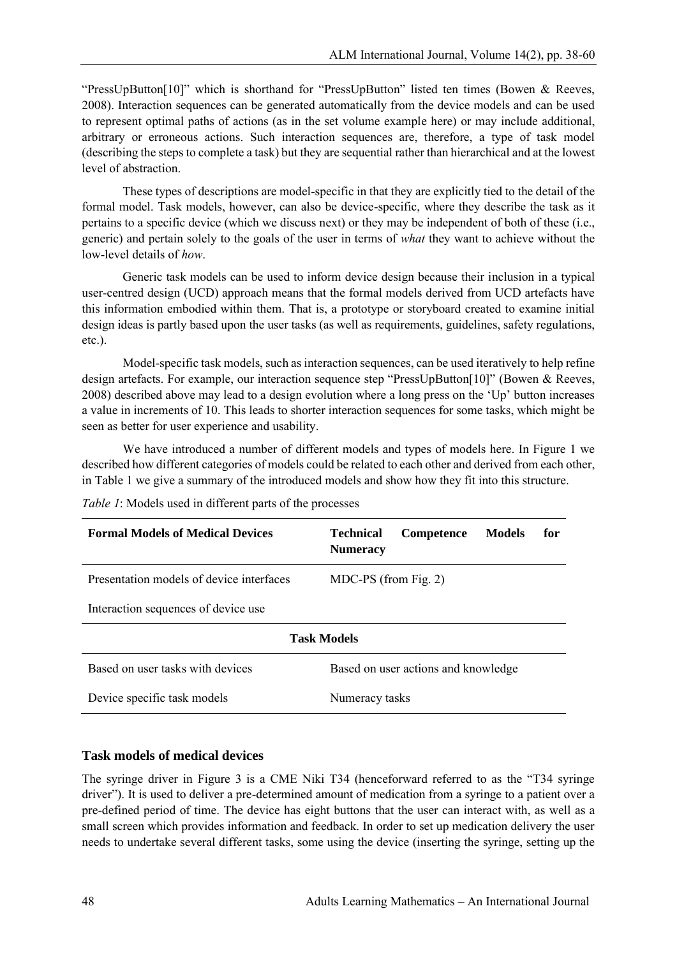"PressUpButton[10]" which is shorthand for "PressUpButton" listed ten times (Bowen & Reeves, 2008). Interaction sequences can be generated automatically from the device models and can be used to represent optimal paths of actions (as in the set volume example here) or may include additional, arbitrary or erroneous actions. Such interaction sequences are, therefore, a type of task model (describing the steps to complete a task) but they are sequential rather than hierarchical and at the lowest level of abstraction.

These types of descriptions are model-specific in that they are explicitly tied to the detail of the formal model. Task models, however, can also be device-specific, where they describe the task as it pertains to a specific device (which we discuss next) or they may be independent of both of these (i.e., generic) and pertain solely to the goals of the user in terms of *what* they want to achieve without the low-level details of *how*.

Generic task models can be used to inform device design because their inclusion in a typical user-centred design (UCD) approach means that the formal models derived from UCD artefacts have this information embodied within them. That is, a prototype or storyboard created to examine initial design ideas is partly based upon the user tasks (as well as requirements, guidelines, safety regulations, etc.).

Model-specific task models, such as interaction sequences, can be used iteratively to help refine design artefacts. For example, our interaction sequence step "PressUpButton[10]" (Bowen & Reeves, 2008) described above may lead to a design evolution where a long press on the 'Up' button increases a value in increments of 10. This leads to shorter interaction sequences for some tasks, which might be seen as better for user experience and usability.

We have introduced a number of different models and types of models here. In Figure 1 we described how different categories of models could be related to each other and derived from each other, in Table 1 we give a summary of the introduced models and show how they fit into this structure.

| <b>Formal Models of Medical Devices</b>  | for<br><b>Technical</b><br><b>Competence</b><br>Models<br><b>Numeracy</b> |  |  |  |  |  |  |  |  |  |
|------------------------------------------|---------------------------------------------------------------------------|--|--|--|--|--|--|--|--|--|
| Presentation models of device interfaces | $MDC-PS$ (from Fig. 2)                                                    |  |  |  |  |  |  |  |  |  |
| Interaction sequences of device use      |                                                                           |  |  |  |  |  |  |  |  |  |
| <b>Task Models</b>                       |                                                                           |  |  |  |  |  |  |  |  |  |
| Based on user tasks with devices         | Based on user actions and knowledge                                       |  |  |  |  |  |  |  |  |  |
| Device specific task models              | Numeracy tasks                                                            |  |  |  |  |  |  |  |  |  |

*Table 1*: Models used in different parts of the processes

### **Task models of medical devices**

The syringe driver in Figure 3 is a CME Niki T34 (henceforward referred to as the "T34 syringe driver"). It is used to deliver a pre-determined amount of medication from a syringe to a patient over a pre-defined period of time. The device has eight buttons that the user can interact with, as well as a small screen which provides information and feedback. In order to set up medication delivery the user needs to undertake several different tasks, some using the device (inserting the syringe, setting up the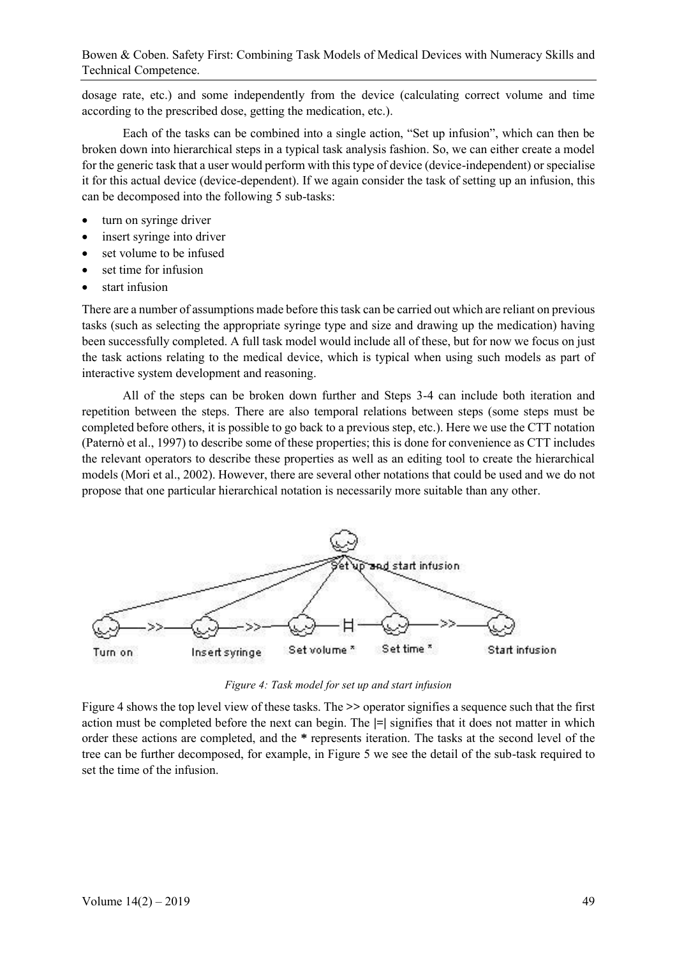dosage rate, etc.) and some independently from the device (calculating correct volume and time according to the prescribed dose, getting the medication, etc.).

Each of the tasks can be combined into a single action, "Set up infusion", which can then be broken down into hierarchical steps in a typical task analysis fashion. So, we can either create a model for the generic task that a user would perform with this type of device (device-independent) or specialise it for this actual device (device-dependent). If we again consider the task of setting up an infusion, this can be decomposed into the following 5 sub-tasks:

- turn on syringe driver
- insert syringe into driver
- set volume to be infused
- set time for infusion
- start infusion

There are a number of assumptions made before this task can be carried out which are reliant on previous tasks (such as selecting the appropriate syringe type and size and drawing up the medication) having been successfully completed. A full task model would include all of these, but for now we focus on just the task actions relating to the medical device, which is typical when using such models as part of interactive system development and reasoning.

All of the steps can be broken down further and Steps 3-4 can include both iteration and repetition between the steps. There are also temporal relations between steps (some steps must be completed before others, it is possible to go back to a previous step, etc.). Here we use the CTT notation (Paternò et al., 1997) to describe some of these properties; this is done for convenience as CTT includes the relevant operators to describe these properties as well as an editing tool to create the hierarchical models (Mori et al., 2002). However, there are several other notations that could be used and we do not propose that one particular hierarchical notation is necessarily more suitable than any other.



*Figure 4: Task model for set up and start infusion*

Figure 4 shows the top level view of these tasks. The **>>** operator signifies a sequence such that the first action must be completed before the next can begin. The **|=|** signifies that it does not matter in which order these actions are completed, and the **\*** represents iteration. The tasks at the second level of the tree can be further decomposed, for example, in Figure 5 we see the detail of the sub-task required to set the time of the infusion.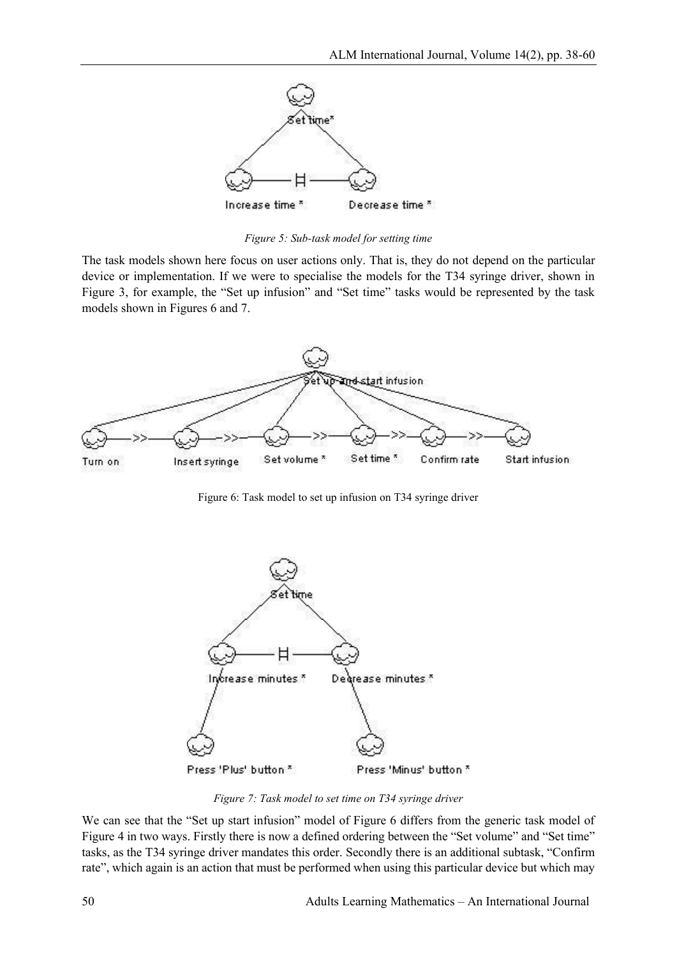

*Figure 5: Sub-task model for setting time*

The task models shown here focus on user actions only. That is, they do not depend on the particular device or implementation. If we were to specialise the models for the T34 syringe driver, shown in Figure 3, for example, the "Set up infusion" and "Set time" tasks would be represented by the task models shown in Figures 6 and 7.



Figure 6: Task model to set up infusion on T34 syringe driver



*Figure 7: Task model to set time on T34 syringe driver*

We can see that the "Set up start infusion" model of Figure 6 differs from the generic task model of Figure 4 in two ways. Firstly there is now a defined ordering between the "Set volume" and "Set time" tasks, as the T34 syringe driver mandates this order. Secondly there is an additional subtask, "Confirm rate", which again is an action that must be performed when using this particular device but which may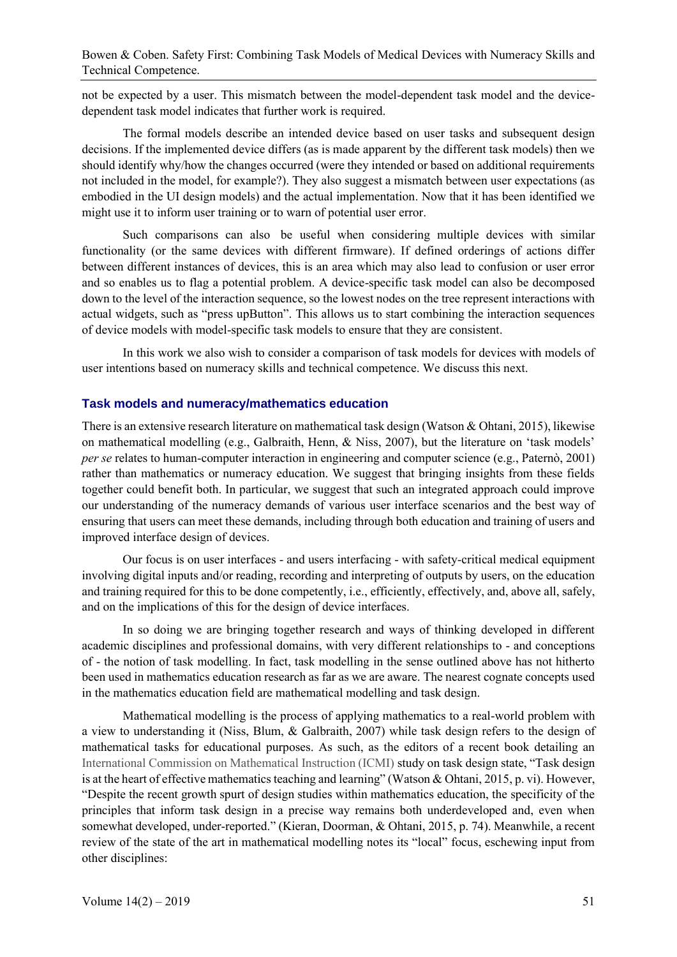not be expected by a user. This mismatch between the model-dependent task model and the devicedependent task model indicates that further work is required.

The formal models describe an intended device based on user tasks and subsequent design decisions. If the implemented device differs (as is made apparent by the different task models) then we should identify why/how the changes occurred (were they intended or based on additional requirements not included in the model, for example?). They also suggest a mismatch between user expectations (as embodied in the UI design models) and the actual implementation. Now that it has been identified we might use it to inform user training or to warn of potential user error.

Such comparisons can also be useful when considering multiple devices with similar functionality (or the same devices with different firmware). If defined orderings of actions differ between different instances of devices, this is an area which may also lead to confusion or user error and so enables us to flag a potential problem. A device-specific task model can also be decomposed down to the level of the interaction sequence, so the lowest nodes on the tree represent interactions with actual widgets, such as "press upButton". This allows us to start combining the interaction sequences of device models with model-specific task models to ensure that they are consistent.

In this work we also wish to consider a comparison of task models for devices with models of user intentions based on numeracy skills and technical competence. We discuss this next.

### **Task models and numeracy/mathematics education**

There is an extensive research literature on mathematical task design (Watson & Ohtani, 2015), likewise on mathematical modelling (e.g., Galbraith, Henn, & Niss, 2007), but the literature on 'task models' *per se* relates to human-computer interaction in engineering and computer science (e.g., Paternò, 2001) rather than mathematics or numeracy education. We suggest that bringing insights from these fields together could benefit both. In particular, we suggest that such an integrated approach could improve our understanding of the numeracy demands of various user interface scenarios and the best way of ensuring that users can meet these demands, including through both education and training of users and improved interface design of devices.

Our focus is on user interfaces - and users interfacing - with safety-critical medical equipment involving digital inputs and/or reading, recording and interpreting of outputs by users, on the education and training required for this to be done competently, i.e., efficiently, effectively, and, above all, safely, and on the implications of this for the design of device interfaces.

In so doing we are bringing together research and ways of thinking developed in different academic disciplines and professional domains, with very different relationships to - and conceptions of - the notion of task modelling. In fact, task modelling in the sense outlined above has not hitherto been used in mathematics education research as far as we are aware. The nearest cognate concepts used in the mathematics education field are mathematical modelling and task design.

Mathematical modelling is the process of applying mathematics to a real-world problem with a view to understanding it (Niss, Blum, & Galbraith, 2007) while task design refers to the design of mathematical tasks for educational purposes. As such, as the editors of a recent book detailing an International Commission on Mathematical Instruction (ICMI) study on task design state, "Task design is at the heart of effective mathematics teaching and learning" (Watson & Ohtani, 2015, p. vi). However, "Despite the recent growth spurt of design studies within mathematics education, the specificity of the principles that inform task design in a precise way remains both underdeveloped and, even when somewhat developed, under-reported." (Kieran, Doorman, & Ohtani, 2015, p. 74). Meanwhile, a recent review of the state of the art in mathematical modelling notes its "local" focus, eschewing input from other disciplines: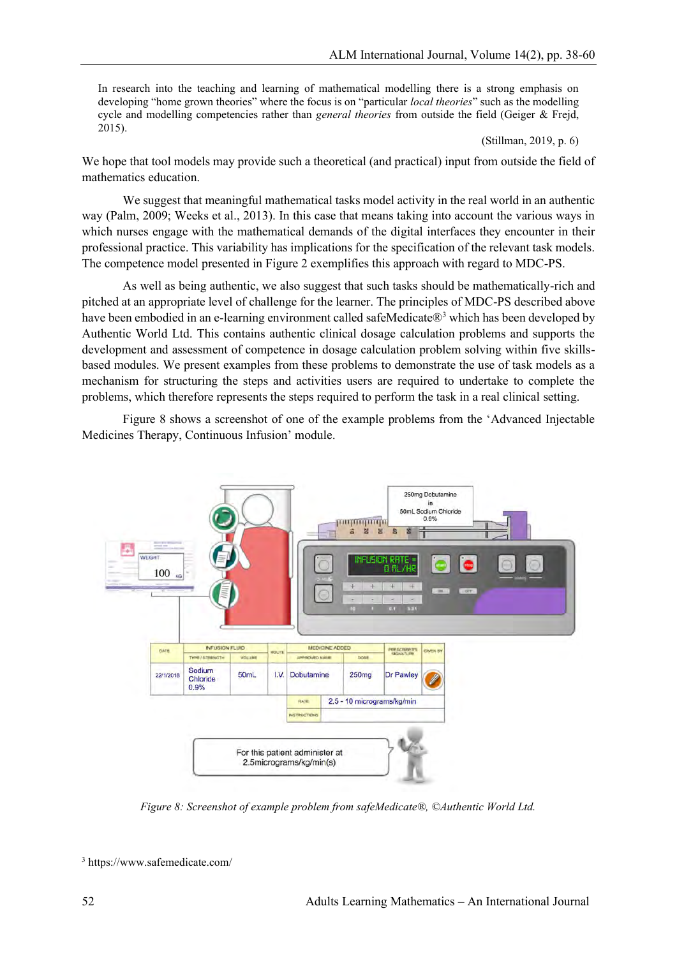In research into the teaching and learning of mathematical modelling there is a strong emphasis on developing "home grown theories" where the focus is on "particular *local theories*" such as the modelling cycle and modelling competencies rather than *general theories* from outside the field (Geiger & Frejd, 2015).

(Stillman, 2019, p. 6)

We hope that tool models may provide such a theoretical (and practical) input from outside the field of mathematics education.

We suggest that meaningful mathematical tasks model activity in the real world in an authentic way (Palm, 2009; Weeks et al., 2013). In this case that means taking into account the various ways in which nurses engage with the mathematical demands of the digital interfaces they encounter in their professional practice. This variability has implications for the specification of the relevant task models. The competence model presented in Figure 2 exemplifies this approach with regard to MDC-PS.

As well as being authentic, we also suggest that such tasks should be mathematically-rich and pitched at an appropriate level of challenge for the learner. The principles of MDC-PS described above have been embodied in an e-learning environment called safeMedicate®<sup>3</sup> which has been developed by Authentic World Ltd. This contains authentic clinical dosage calculation problems and supports the development and assessment of competence in dosage calculation problem solving within five skillsbased modules. We present examples from these problems to demonstrate the use of task models as a mechanism for structuring the steps and activities users are required to undertake to complete the problems, which therefore represents the steps required to perform the task in a real clinical setting.

Figure 8 shows a screenshot of one of the example problems from the 'Advanced Injectable Medicines Therapy, Continuous Infusion' module.



*Figure 8: Screenshot of example problem from safeMedicate®, ©Authentic World Ltd.*

<sup>3</sup> https://www.safemedicate.com/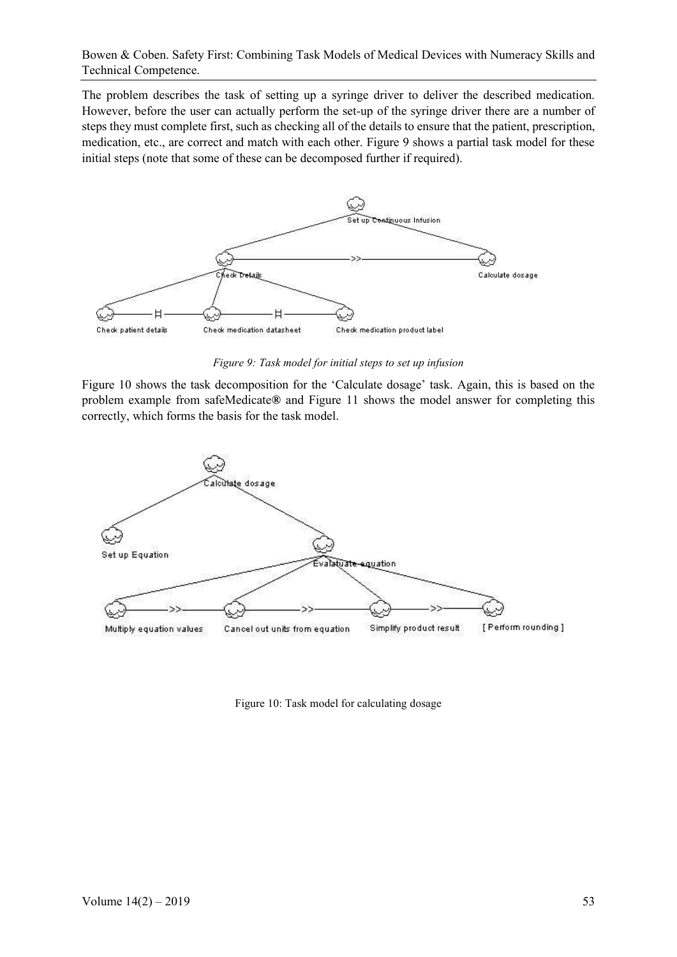The problem describes the task of setting up a syringe driver to deliver the described medication. However, before the user can actually perform the set-up of the syringe driver there are a number of steps they must complete first, such as checking all of the details to ensure that the patient, prescription, medication, etc., are correct and match with each other. Figure 9 shows a partial task model for these initial steps (note that some of these can be decomposed further if required).



*Figure 9: Task model for initial steps to set up infusion*

Figure 10 shows the task decomposition for the 'Calculate dosage' task. Again, this is based on the problem example from safeMedicate**®** and Figure 11 shows the model answer for completing this correctly, which forms the basis for the task model.



Figure 10: Task model for calculating dosage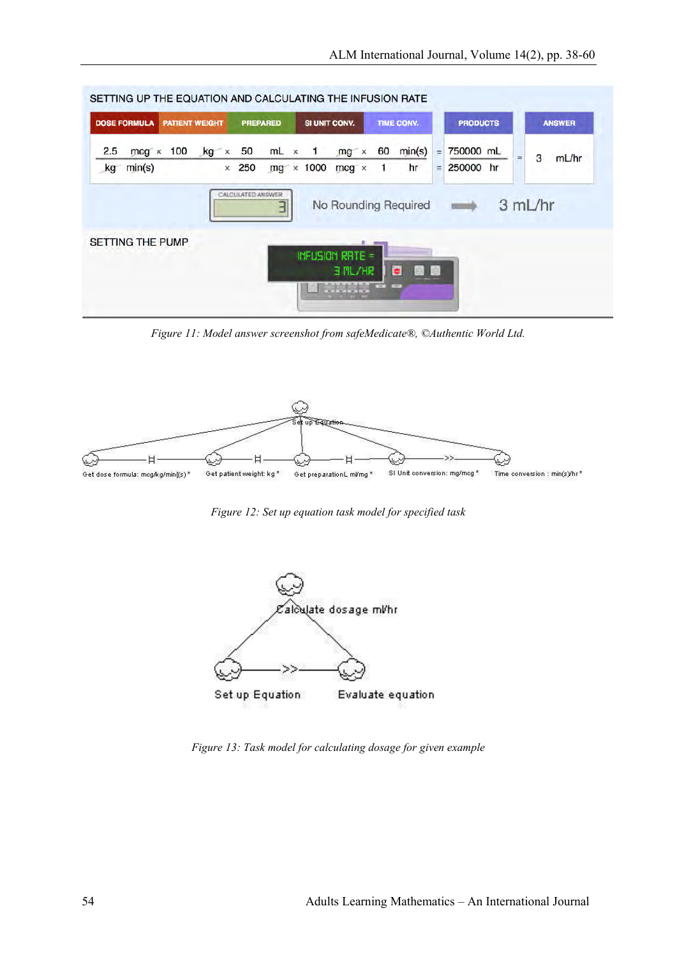| <b>DOSE FORMULA</b><br><b>PATIENT WEIGHT</b> |     | <b>PREPARED</b> |                   | SI UNIT CONV.                                    |  | TIME CONV.             |                      |                                        | <b>PRODUCTS</b> |                        |  | <b>ANSWER</b> |         |       |
|----------------------------------------------|-----|-----------------|-------------------|--------------------------------------------------|--|------------------------|----------------------|----------------------------------------|-----------------|------------------------|--|---------------|---------|-------|
| 2.5<br>$mcq \times$<br>kg min(s)             | 100 | $kg \times$     | $\times$ 250      | 50 mL $\times$ 1 mg $\times$<br>$mg \times 1000$ |  | $mcg \times$           | 60<br>$\overline{1}$ | min(s)<br>hr                           | $=$<br>$=$      | 750000 mL<br>250000 hr |  | Ξ             | 3       | mL/hr |
|                                              |     |                 | CALCULATED ANSWER | ╕                                                |  |                        |                      | No Rounding Required <b>Department</b> |                 |                        |  |               | 3 mL/hr |       |
| <b>SETTING THE PUMP</b>                      |     |                 |                   |                                                  |  | <b>INFUSION RATE =</b> | $\cdots$             |                                        |                 |                        |  |               |         |       |

*Figure 11: Model answer screenshot from safeMedicate®, ©Authentic World Ltd.*



*Figure 12: Set up equation task model for specified task*



*Figure 13: Task model for calculating dosage for given example*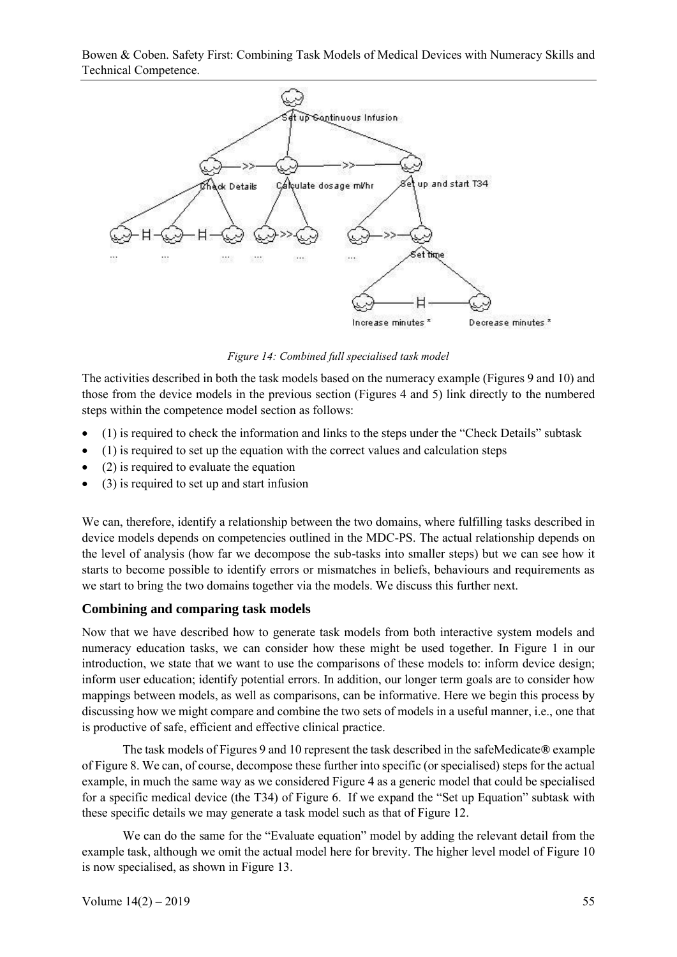

*Figure 14: Combined full specialised task model*

The activities described in both the task models based on the numeracy example (Figures 9 and 10) and those from the device models in the previous section (Figures 4 and 5) link directly to the numbered steps within the competence model section as follows:

- (1) is required to check the information and links to the steps under the "Check Details" subtask
- (1) is required to set up the equation with the correct values and calculation steps
- (2) is required to evaluate the equation
- (3) is required to set up and start infusion

We can, therefore, identify a relationship between the two domains, where fulfilling tasks described in device models depends on competencies outlined in the MDC-PS. The actual relationship depends on the level of analysis (how far we decompose the sub-tasks into smaller steps) but we can see how it starts to become possible to identify errors or mismatches in beliefs, behaviours and requirements as we start to bring the two domains together via the models. We discuss this further next.

## **Combining and comparing task models**

Now that we have described how to generate task models from both interactive system models and numeracy education tasks, we can consider how these might be used together. In Figure 1 in our introduction, we state that we want to use the comparisons of these models to: inform device design; inform user education; identify potential errors. In addition, our longer term goals are to consider how mappings between models, as well as comparisons, can be informative. Here we begin this process by discussing how we might compare and combine the two sets of models in a useful manner, i.e., one that is productive of safe, efficient and effective clinical practice.

The task models of Figures 9 and 10 represent the task described in the safeMedicate**®** example of Figure 8. We can, of course, decompose these further into specific (or specialised) steps for the actual example, in much the same way as we considered Figure 4 as a generic model that could be specialised for a specific medical device (the T34) of Figure 6. If we expand the "Set up Equation" subtask with these specific details we may generate a task model such as that of Figure 12.

We can do the same for the "Evaluate equation" model by adding the relevant detail from the example task, although we omit the actual model here for brevity. The higher level model of Figure 10 is now specialised, as shown in Figure 13.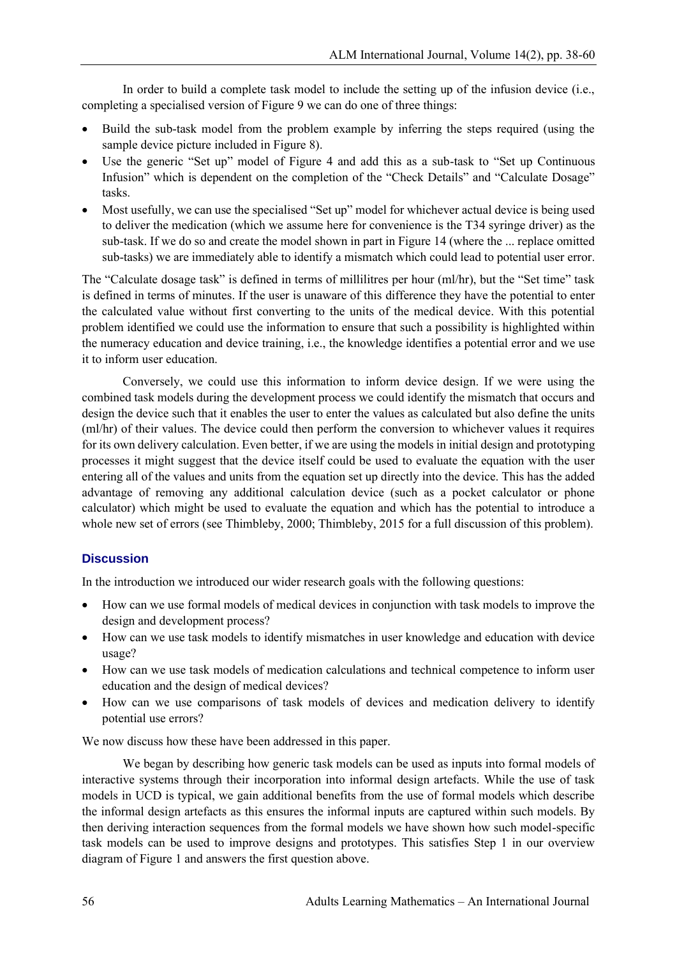In order to build a complete task model to include the setting up of the infusion device (i.e., completing a specialised version of Figure 9 we can do one of three things:

- Build the sub-task model from the problem example by inferring the steps required (using the sample device picture included in Figure 8).
- Use the generic "Set up" model of Figure 4 and add this as a sub-task to "Set up Continuous Infusion" which is dependent on the completion of the "Check Details" and "Calculate Dosage" tasks.
- Most usefully, we can use the specialised "Set up" model for whichever actual device is being used to deliver the medication (which we assume here for convenience is the T34 syringe driver) as the sub-task. If we do so and create the model shown in part in Figure 14 (where the ... replace omitted sub-tasks) we are immediately able to identify a mismatch which could lead to potential user error.

The "Calculate dosage task" is defined in terms of millilitres per hour (ml/hr), but the "Set time" task is defined in terms of minutes. If the user is unaware of this difference they have the potential to enter the calculated value without first converting to the units of the medical device. With this potential problem identified we could use the information to ensure that such a possibility is highlighted within the numeracy education and device training, i.e., the knowledge identifies a potential error and we use it to inform user education.

Conversely, we could use this information to inform device design. If we were using the combined task models during the development process we could identify the mismatch that occurs and design the device such that it enables the user to enter the values as calculated but also define the units (ml/hr) of their values. The device could then perform the conversion to whichever values it requires for its own delivery calculation. Even better, if we are using the models in initial design and prototyping processes it might suggest that the device itself could be used to evaluate the equation with the user entering all of the values and units from the equation set up directly into the device. This has the added advantage of removing any additional calculation device (such as a pocket calculator or phone calculator) which might be used to evaluate the equation and which has the potential to introduce a whole new set of errors (see Thimbleby, 2000; Thimbleby, 2015 for a full discussion of this problem).

### **Discussion**

In the introduction we introduced our wider research goals with the following questions:

- How can we use formal models of medical devices in conjunction with task models to improve the design and development process?
- How can we use task models to identify mismatches in user knowledge and education with device usage?
- How can we use task models of medication calculations and technical competence to inform user education and the design of medical devices?
- How can we use comparisons of task models of devices and medication delivery to identify potential use errors?

We now discuss how these have been addressed in this paper.

We began by describing how generic task models can be used as inputs into formal models of interactive systems through their incorporation into informal design artefacts. While the use of task models in UCD is typical, we gain additional benefits from the use of formal models which describe the informal design artefacts as this ensures the informal inputs are captured within such models. By then deriving interaction sequences from the formal models we have shown how such model-specific task models can be used to improve designs and prototypes. This satisfies Step 1 in our overview diagram of Figure 1 and answers the first question above.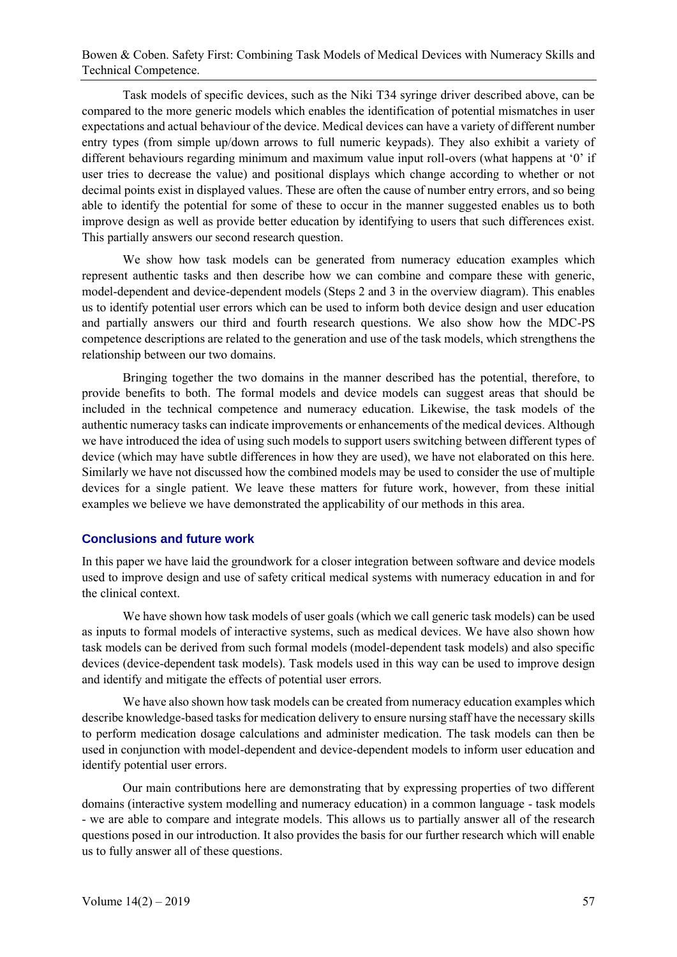Task models of specific devices, such as the Niki T34 syringe driver described above, can be compared to the more generic models which enables the identification of potential mismatches in user expectations and actual behaviour of the device. Medical devices can have a variety of different number entry types (from simple up/down arrows to full numeric keypads). They also exhibit a variety of different behaviours regarding minimum and maximum value input roll-overs (what happens at '0' if user tries to decrease the value) and positional displays which change according to whether or not decimal points exist in displayed values. These are often the cause of number entry errors, and so being able to identify the potential for some of these to occur in the manner suggested enables us to both improve design as well as provide better education by identifying to users that such differences exist. This partially answers our second research question.

We show how task models can be generated from numeracy education examples which represent authentic tasks and then describe how we can combine and compare these with generic, model-dependent and device-dependent models (Steps 2 and 3 in the overview diagram). This enables us to identify potential user errors which can be used to inform both device design and user education and partially answers our third and fourth research questions. We also show how the MDC-PS competence descriptions are related to the generation and use of the task models, which strengthens the relationship between our two domains.

Bringing together the two domains in the manner described has the potential, therefore, to provide benefits to both. The formal models and device models can suggest areas that should be included in the technical competence and numeracy education. Likewise, the task models of the authentic numeracy tasks can indicate improvements or enhancements of the medical devices. Although we have introduced the idea of using such models to support users switching between different types of device (which may have subtle differences in how they are used), we have not elaborated on this here. Similarly we have not discussed how the combined models may be used to consider the use of multiple devices for a single patient. We leave these matters for future work, however, from these initial examples we believe we have demonstrated the applicability of our methods in this area.

### **Conclusions and future work**

In this paper we have laid the groundwork for a closer integration between software and device models used to improve design and use of safety critical medical systems with numeracy education in and for the clinical context.

We have shown how task models of user goals (which we call generic task models) can be used as inputs to formal models of interactive systems, such as medical devices. We have also shown how task models can be derived from such formal models (model-dependent task models) and also specific devices (device-dependent task models). Task models used in this way can be used to improve design and identify and mitigate the effects of potential user errors.

We have also shown how task models can be created from numeracy education examples which describe knowledge-based tasks for medication delivery to ensure nursing staff have the necessary skills to perform medication dosage calculations and administer medication. The task models can then be used in conjunction with model-dependent and device-dependent models to inform user education and identify potential user errors.

Our main contributions here are demonstrating that by expressing properties of two different domains (interactive system modelling and numeracy education) in a common language - task models - we are able to compare and integrate models. This allows us to partially answer all of the research questions posed in our introduction. It also provides the basis for our further research which will enable us to fully answer all of these questions.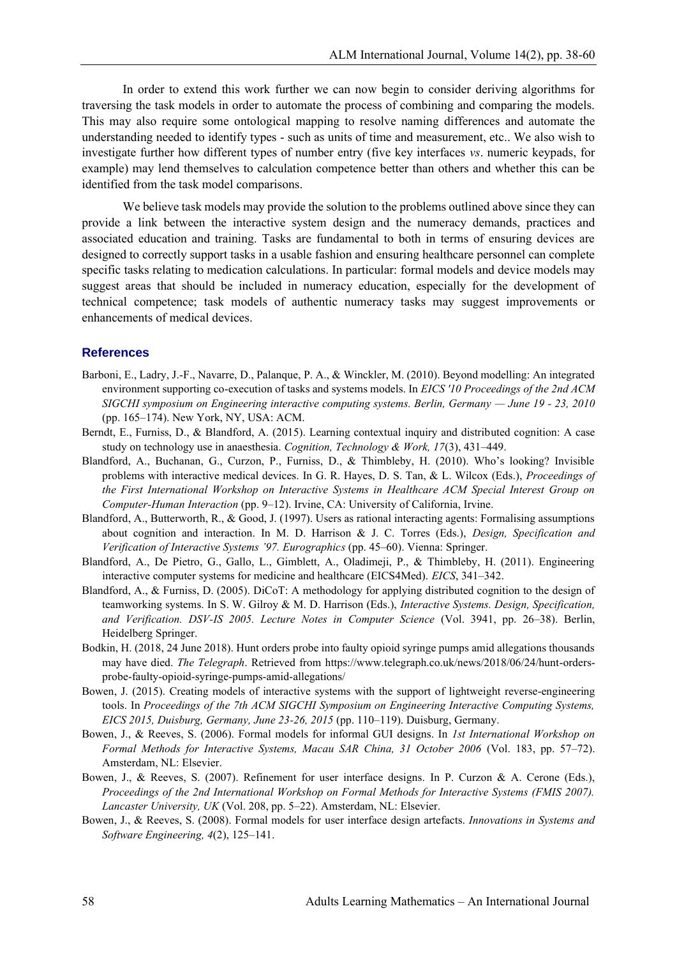In order to extend this work further we can now begin to consider deriving algorithms for traversing the task models in order to automate the process of combining and comparing the models. This may also require some ontological mapping to resolve naming differences and automate the understanding needed to identify types - such as units of time and measurement, etc.. We also wish to investigate further how different types of number entry (five key interfaces *vs*. numeric keypads, for example) may lend themselves to calculation competence better than others and whether this can be identified from the task model comparisons.

We believe task models may provide the solution to the problems outlined above since they can provide a link between the interactive system design and the numeracy demands, practices and associated education and training. Tasks are fundamental to both in terms of ensuring devices are designed to correctly support tasks in a usable fashion and ensuring healthcare personnel can complete specific tasks relating to medication calculations. In particular: formal models and device models may suggest areas that should be included in numeracy education, especially for the development of technical competence; task models of authentic numeracy tasks may suggest improvements or enhancements of medical devices.

#### **References**

- Barboni, E., Ladry, J.-F., Navarre, D., Palanque, P. A., & Winckler, M. (2010). Beyond modelling: An integrated environment supporting co-execution of tasks and systems models. In *EICS '10 Proceedings of the 2nd ACM SIGCHI symposium on Engineering interactive computing systems. Berlin, Germany — June 19 - 23, 2010* (pp. 165–174). New York, NY, USA: ACM.
- Berndt, E., Furniss, D., & Blandford, A. (2015). Learning contextual inquiry and distributed cognition: A case study on technology use in anaesthesia. *Cognition, Technology & Work, 17*(3), 431–449.
- Blandford, A., Buchanan, G., Curzon, P., Furniss, D., & Thimbleby, H. (2010). Who's looking? Invisible problems with interactive medical devices. In G. R. Hayes, D. S. Tan, & L. Wilcox (Eds.), *Proceedings of the First International Workshop on Interactive Systems in Healthcare ACM Special Interest Group on Computer-Human Interaction* (pp. 9–12). Irvine, CA: University of California, Irvine.
- Blandford, A., Butterworth, R., & Good, J. (1997). Users as rational interacting agents: Formalising assumptions about cognition and interaction. In M. D. Harrison & J. C. Torres (Eds.), *Design, Specification and Verification of Interactive Systems '97. Eurographics* (pp. 45–60). Vienna: Springer.
- Blandford, A., De Pietro, G., Gallo, L., Gimblett, A., Oladimeji, P., & Thimbleby, H. (2011). Engineering interactive computer systems for medicine and healthcare (EICS4Med). *EICS*, 341–342.
- Blandford, A., & Furniss, D. (2005). DiCoT: A methodology for applying distributed cognition to the design of teamworking systems. In S. W. Gilroy & M. D. Harrison (Eds.), *Interactive Systems. Design, Specification, and Verification. DSV-IS 2005. Lecture Notes in Computer Science* (Vol. 3941, pp. 26–38). Berlin, Heidelberg Springer.
- Bodkin, H. (2018, 24 June 2018). Hunt orders probe into faulty opioid syringe pumps amid allegations thousands may have died. *The Telegraph*. Retrieved from https://www.telegraph.co.uk/news/2018/06/24/hunt-ordersprobe-faulty-opioid-syringe-pumps-amid-allegations/
- Bowen, J. (2015). Creating models of interactive systems with the support of lightweight reverse-engineering tools. In *Proceedings of the 7th ACM SIGCHI Symposium on Engineering Interactive Computing Systems, EICS 2015, Duisburg, Germany, June 23-26, 2015* (pp. 110–119). Duisburg, Germany.
- Bowen, J., & Reeves, S. (2006). Formal models for informal GUI designs. In *1st International Workshop on Formal Methods for Interactive Systems, Macau SAR China, 31 October 2006* (Vol. 183, pp. 57–72). Amsterdam, NL: Elsevier.
- Bowen, J., & Reeves, S. (2007). Refinement for user interface designs. In P. Curzon & A. Cerone (Eds.), *Proceedings of the 2nd International Workshop on Formal Methods for Interactive Systems (FMIS 2007). Lancaster University, UK* (Vol. 208, pp. 5–22). Amsterdam, NL: Elsevier.
- Bowen, J., & Reeves, S. (2008). Formal models for user interface design artefacts. *Innovations in Systems and Software Engineering, 4*(2), 125–141.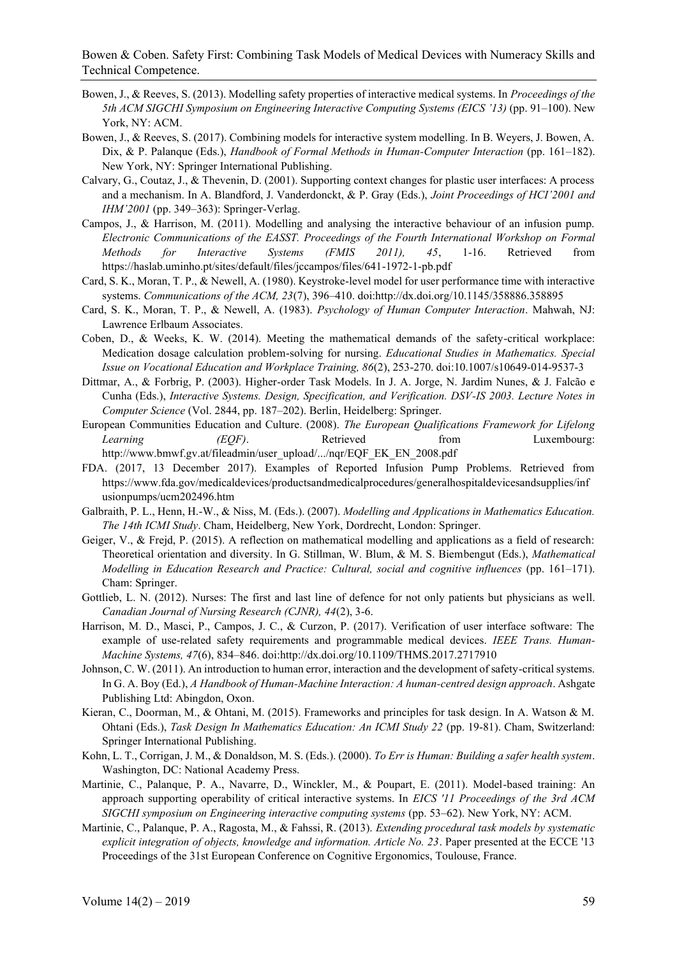- Bowen, J., & Reeves, S. (2013). Modelling safety properties of interactive medical systems. In *Proceedings of the 5th ACM SIGCHI Symposium on Engineering Interactive Computing Systems (EICS '13)* (pp. 91–100). New York, NY: ACM.
- Bowen, J., & Reeves, S. (2017). Combining models for interactive system modelling. In B. Weyers, J. Bowen, A. Dix, & P. Palanque (Eds.), *Handbook of Formal Methods in Human-Computer Interaction* (pp. 161–182). New York, NY: Springer International Publishing.
- Calvary, G., Coutaz, J., & Thevenin, D. (2001). Supporting context changes for plastic user interfaces: A process and a mechanism. In A. Blandford, J. Vanderdonckt, & P. Gray (Eds.), *Joint Proceedings of HCI'2001 and IHM'2001* (pp. 349–363): Springer-Verlag.
- Campos, J., & Harrison, M. (2011). Modelling and analysing the interactive behaviour of an infusion pump. *Electronic Communications of the EASST. Proceedings of the Fourth International Workshop on Formal Methods for Interactive Systems (FMIS 2011), 45*, 1-16. Retrieved from https://haslab.uminho.pt/sites/default/files/jccampos/files/641-1972-1-pb.pdf
- Card, S. K., Moran, T. P., & Newell, A. (1980). Keystroke-level model for user performance time with interactive systems. *Communications of the ACM, 23*(7), 396–410. doi:http://dx.doi.org/10.1145/358886.358895
- Card, S. K., Moran, T. P., & Newell, A. (1983). *Psychology of Human Computer Interaction*. Mahwah, NJ: Lawrence Erlbaum Associates.
- Coben, D., & Weeks, K. W. (2014). Meeting the mathematical demands of the safety-critical workplace: Medication dosage calculation problem-solving for nursing. *Educational Studies in Mathematics. Special Issue on Vocational Education and Workplace Training, 86*(2), 253-270. doi:10.1007/s10649-014-9537-3
- Dittmar, A., & Forbrig, P. (2003). Higher-order Task Models. In J. A. Jorge, N. Jardim Nunes, & J. Falcão e Cunha (Eds.), *Interactive Systems. Design, Specification, and Verification. DSV-IS 2003. Lecture Notes in Computer Science* (Vol. 2844, pp. 187–202). Berlin, Heidelberg: Springer.
- European Communities Education and Culture. (2008). *The European Qualifications Framework for Lifelong Learning (EQF)*. Retrieved from Luxembourg: http://www.bmwf.gv.at/fileadmin/user\_upload/.../nqr/EQF\_EK\_EN\_2008.pdf
- FDA. (2017, 13 December 2017). Examples of Reported Infusion Pump Problems. Retrieved from https://www.fda.gov/medicaldevices/productsandmedicalprocedures/generalhospitaldevicesandsupplies/inf usionpumps/ucm202496.htm
- Galbraith, P. L., Henn, H.-W., & Niss, M. (Eds.). (2007). *Modelling and Applications in Mathematics Education. The 14th ICMI Study*. Cham, Heidelberg, New York, Dordrecht, London: Springer.
- Geiger, V., & Frejd, P. (2015). A reflection on mathematical modelling and applications as a field of research: Theoretical orientation and diversity. In G. Stillman, W. Blum, & M. S. Biembengut (Eds.), *Mathematical Modelling in Education Research and Practice: Cultural, social and cognitive influences* (pp. 161–171). Cham: Springer.
- Gottlieb, L. N. (2012). Nurses: The first and last line of defence for not only patients but physicians as well. *Canadian Journal of Nursing Research (CJNR), 44*(2), 3-6.
- Harrison, M. D., Masci, P., Campos, J. C., & Curzon, P. (2017). Verification of user interface software: The example of use-related safety requirements and programmable medical devices. *IEEE Trans. Human-Machine Systems, 47*(6), 834–846. doi:http://dx.doi.org/10.1109/THMS.2017.2717910
- Johnson, C. W. (2011). An introduction to human error, interaction and the development of safety-critical systems. In G. A. Boy (Ed.), *A Handbook of Human-Machine Interaction: A human-centred design approach*. Ashgate Publishing Ltd: Abingdon, Oxon.
- Kieran, C., Doorman, M., & Ohtani, M. (2015). Frameworks and principles for task design. In A. Watson & M. Ohtani (Eds.), *Task Design In Mathematics Education: An ICMI Study 22* (pp. 19-81). Cham, Switzerland: Springer International Publishing.
- Kohn, L. T., Corrigan, J. M., & Donaldson, M. S. (Eds.). (2000). *To Err is Human: Building a safer health system*. Washington, DC: National Academy Press.
- Martinie, C., Palanque, P. A., Navarre, D., Winckler, M., & Poupart, E. (2011). Model-based training: An approach supporting operability of critical interactive systems. In *EICS '11 Proceedings of the 3rd ACM SIGCHI symposium on Engineering interactive computing systems* (pp. 53–62). New York, NY: ACM.
- Martinie, C., Palanque, P. A., Ragosta, M., & Fahssi, R. (2013). *Extending procedural task models by systematic explicit integration of objects, knowledge and information. Article No. 23*. Paper presented at the ECCE '13 Proceedings of the 31st European Conference on Cognitive Ergonomics, Toulouse, France.